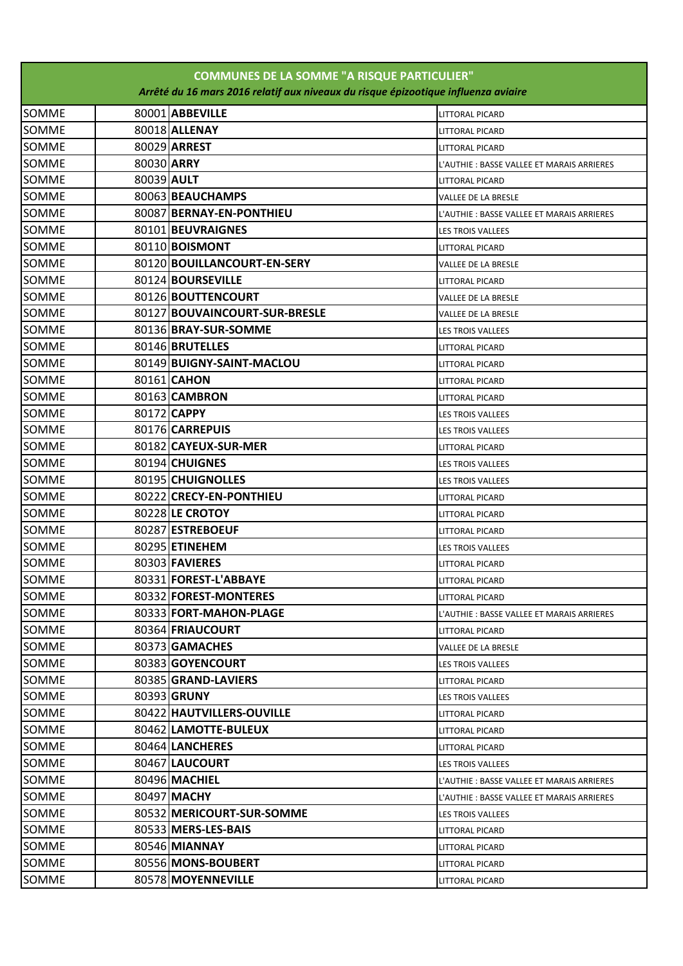| <b>COMMUNES DE LA SOMME "A RISQUE PARTICULIER"</b><br>Arrêté du 16 mars 2016 relatif aux niveaux du risque épizootique influenza aviaire |            |                               |                                            |  |  |
|------------------------------------------------------------------------------------------------------------------------------------------|------------|-------------------------------|--------------------------------------------|--|--|
|                                                                                                                                          |            |                               |                                            |  |  |
| <b>SOMME</b>                                                                                                                             |            | 80001 ABBEVILLE               | <b>LITTORAL PICARD</b>                     |  |  |
| <b>SOMME</b>                                                                                                                             |            | 80018 ALLENAY                 | <b>LITTORAL PICARD</b>                     |  |  |
| SOMME                                                                                                                                    |            | 80029 ARREST                  | <b>LITTORAL PICARD</b>                     |  |  |
| <b>SOMME</b>                                                                                                                             | 80030 ARRY |                               | L'AUTHIE : BASSE VALLEE ET MARAIS ARRIERES |  |  |
| <b>SOMME</b>                                                                                                                             | 80039 AULT |                               | <b>LITTORAL PICARD</b>                     |  |  |
| <b>SOMME</b>                                                                                                                             |            | 80063 BEAUCHAMPS              | VALLEE DE LA BRESLE                        |  |  |
| <b>SOMME</b>                                                                                                                             |            | 80087 BERNAY-EN-PONTHIEU      | L'AUTHIE : BASSE VALLEE ET MARAIS ARRIERES |  |  |
| <b>SOMME</b>                                                                                                                             |            | 80101 BEUVRAIGNES             | <b>LES TROIS VALLEES</b>                   |  |  |
| <b>SOMME</b>                                                                                                                             |            | 80110 <b>BOISMONT</b>         | <b>LITTORAL PICARD</b>                     |  |  |
| <b>SOMME</b>                                                                                                                             |            | 80120 BOUILLANCOURT-EN-SERY   | VALLEE DE LA BRESLE                        |  |  |
| <b>SOMME</b>                                                                                                                             |            | 80124 BOURSEVILLE             | <b>LITTORAL PICARD</b>                     |  |  |
| <b>SOMME</b>                                                                                                                             |            | 80126 BOUTTENCOURT            | VALLEE DE LA BRESLE                        |  |  |
| <b>SOMME</b>                                                                                                                             |            | 80127 BOUVAINCOURT-SUR-BRESLE | VALLEE DE LA BRESLE                        |  |  |
| <b>SOMME</b>                                                                                                                             |            | 80136 BRAY-SUR-SOMME          | LES TROIS VALLEES                          |  |  |
| <b>SOMME</b>                                                                                                                             |            | 80146 BRUTELLES               | <b>LITTORAL PICARD</b>                     |  |  |
| <b>SOMME</b>                                                                                                                             |            | 80149 BUIGNY-SAINT-MACLOU     | <b>LITTORAL PICARD</b>                     |  |  |
| <b>SOMME</b>                                                                                                                             |            | 80161 CAHON                   | <b>LITTORAL PICARD</b>                     |  |  |
| <b>SOMME</b>                                                                                                                             |            | 80163 CAMBRON                 | <b>LITTORAL PICARD</b>                     |  |  |
| <b>SOMME</b>                                                                                                                             |            | 80172 CAPPY                   | LES TROIS VALLEES                          |  |  |
| <b>SOMME</b>                                                                                                                             |            | 80176 CARREPUIS               | LES TROIS VALLEES                          |  |  |
| <b>SOMME</b>                                                                                                                             |            | 80182 CAYEUX-SUR-MER          | <b>LITTORAL PICARD</b>                     |  |  |
| SOMME                                                                                                                                    |            | 80194 CHUIGNES                | LES TROIS VALLEES                          |  |  |
| <b>SOMME</b>                                                                                                                             |            | 80195 CHUIGNOLLES             | LES TROIS VALLEES                          |  |  |
| <b>SOMME</b>                                                                                                                             |            | 80222 CRECY-EN-PONTHIEU       | <b>LITTORAL PICARD</b>                     |  |  |
| <b>SOMME</b>                                                                                                                             |            | 80228 LE CROTOY               | <b>LITTORAL PICARD</b>                     |  |  |
| <b>SOMME</b>                                                                                                                             |            | 80287 ESTREBOEUF              | <b>LITTORAL PICARD</b>                     |  |  |
| <b>SOMME</b>                                                                                                                             |            | 80295 ETINEHEM                | LES TROIS VALLEES                          |  |  |
| <b>SOMME</b>                                                                                                                             |            | 80303 FAVIERES                | <b>LITTORAL PICARD</b>                     |  |  |
| SOMME                                                                                                                                    |            | 80331 FOREST-L'ABBAYE         | LITTORAL PICARD                            |  |  |
| SOMME                                                                                                                                    |            | 80332 FOREST-MONTERES         | LITTORAL PICARD                            |  |  |
| <b>SOMME</b>                                                                                                                             |            | 80333 FORT-MAHON-PLAGE        | L'AUTHIE : BASSE VALLEE ET MARAIS ARRIERES |  |  |
| <b>SOMME</b>                                                                                                                             |            | 80364 FRIAUCOURT              | LITTORAL PICARD                            |  |  |
| <b>SOMME</b>                                                                                                                             |            | 80373 GAMACHES                | <b>VALLEE DE LA BRESLE</b>                 |  |  |
| <b>SOMME</b>                                                                                                                             |            | 80383 GOYENCOURT              | LES TROIS VALLEES                          |  |  |
| <b>SOMME</b>                                                                                                                             |            | 80385 GRAND-LAVIERS           | <b>LITTORAL PICARD</b>                     |  |  |
| <b>SOMME</b>                                                                                                                             |            | 80393 GRUNY                   | LES TROIS VALLEES                          |  |  |
| <b>SOMME</b>                                                                                                                             |            | 80422 HAUTVILLERS-OUVILLE     | LITTORAL PICARD                            |  |  |
| SOMME                                                                                                                                    |            | 80462 LAMOTTE-BULEUX          | <b>LITTORAL PICARD</b>                     |  |  |
| <b>SOMME</b>                                                                                                                             |            | 80464 LANCHERES               | LITTORAL PICARD                            |  |  |
| <b>SOMME</b>                                                                                                                             |            | 80467 LAUCOURT                | LES TROIS VALLEES                          |  |  |
| SOMME                                                                                                                                    |            | 80496 MACHIEL                 | L'AUTHIE : BASSE VALLEE ET MARAIS ARRIERES |  |  |
| <b>SOMME</b>                                                                                                                             |            | 80497 MACHY                   | L'AUTHIE : BASSE VALLEE ET MARAIS ARRIERES |  |  |
| <b>SOMME</b>                                                                                                                             |            | 80532 MERICOURT-SUR-SOMME     | LES TROIS VALLEES                          |  |  |
| <b>SOMME</b>                                                                                                                             |            | 80533 MERS-LES-BAIS           | LITTORAL PICARD                            |  |  |
| <b>SOMME</b>                                                                                                                             |            | 80546 MIANNAY                 | LITTORAL PICARD                            |  |  |
| <b>SOMME</b>                                                                                                                             |            | 80556 MONS-BOUBERT            | LITTORAL PICARD                            |  |  |
| <b>SOMME</b>                                                                                                                             |            | 80578 MOYENNEVILLE            | <b>LITTORAL PICARD</b>                     |  |  |